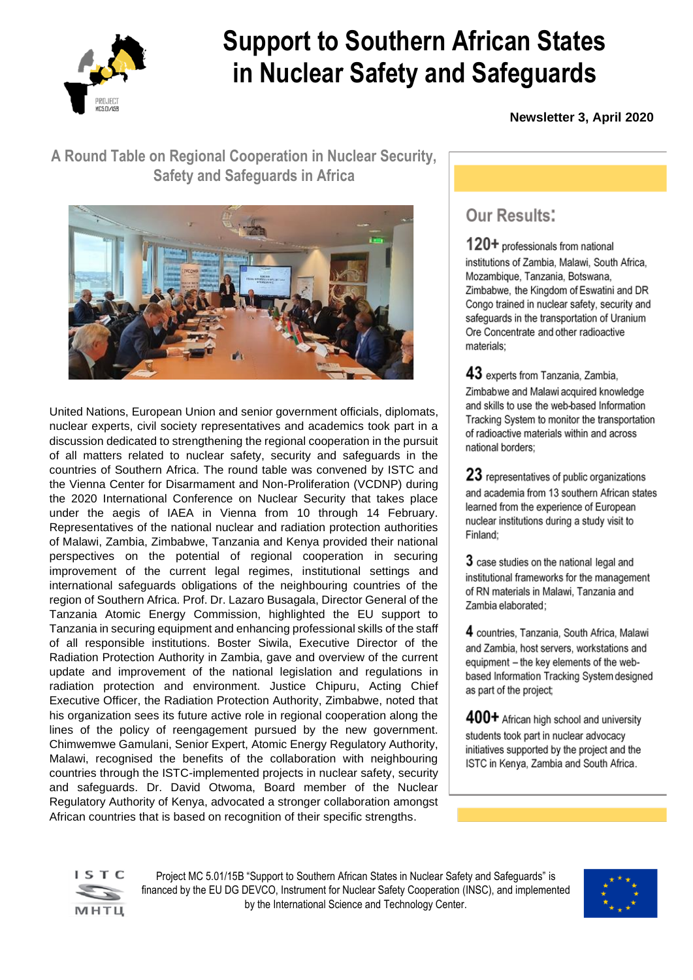

# **Support to Southern African States in Nuclear Safety and Safeguards**

 **Newsletter 3, April 2020**

## **A Round Table on Regional Cooperation in Nuclear Security, Safety and Safeguards in Africa**



United Nations, European Union and senior government officials, diplomats, nuclear experts, civil society representatives and academics took part in a discussion dedicated to strengthening the regional cooperation in the pursuit of all matters related to nuclear safety, security and safeguards in the countries of Southern Africa. The round table was convened by ISTC and the Vienna Center for Disarmament and Non-Proliferation (VCDNP) during the 2020 International Conference on Nuclear Security that takes place under the aegis of IAEA in Vienna from 10 through 14 February. Representatives of the national nuclear and radiation protection authorities of Malawi, Zambia, Zimbabwe, Tanzania and Kenya provided their national perspectives on the potential of regional cooperation in securing improvement of the current legal regimes, institutional settings and international safeguards obligations of the neighbouring countries of the region of Southern Africa. Prof. Dr. Lazaro Busagala, Director General of the Tanzania Atomic Energy Commission, highlighted the EU support to Tanzania in securing equipment and enhancing professional skills of the staff of all responsible institutions. Boster Siwila, Executive Director of the Radiation Protection Authority in Zambia, gave and overview of the current update and improvement of the national legislation and regulations in radiation protection and environment. Justice Chipuru, Acting Chief Executive Officer, the Radiation Protection Authority, Zimbabwe, noted that his organization sees its future active role in regional cooperation along the lines of the policy of reengagement pursued by the new government. Chimwemwe Gamulani, Senior Expert, Atomic Energy Regulatory Authority, Malawi, recognised the benefits of the collaboration with neighbouring countries through the ISTC-implemented projects in nuclear safety, security and safeguards. Dr. David Otwoma, Board member of the Nuclear Regulatory Authority of Kenya, advocated a stronger collaboration amongst African countries that is based on recognition of their specific strengths.

# Our Results:

120+ professionals from national institutions of Zambia, Malawi, South Africa. Mozambique, Tanzania, Botswana, Zimbabwe, the Kingdom of Eswatini and DR Congo trained in nuclear safety, security and safequards in the transportation of Uranium Ore Concentrate and other radioactive materials:

43 experts from Tanzania, Zambia, Zimbabwe and Malawi acquired knowledge and skills to use the web-based Information Tracking System to monitor the transportation of radioactive materials within and across national borders:

23 representatives of public organizations and academia from 13 southern African states learned from the experience of European nuclear institutions during a study visit to Finland:

3 case studies on the national legal and institutional frameworks for the management of RN materials in Malawi, Tanzania and Zambia elaborated:

4 countries, Tanzania, South Africa, Malawi and Zambia, host servers, workstations and equipment - the key elements of the webbased Information Tracking System designed as part of the project;

400+ African high school and university students took part in nuclear advocacy initiatives supported by the project and the ISTC in Kenya, Zambia and South Africa.



Project MC 5.01/15B "Support to Southern African States in Nuclear Safety and Safeguards" is financed by the EU DG DEVCO, Instrument for Nuclear Safety Cooperation (INSC), and implemented by the International Science and Technology Center.

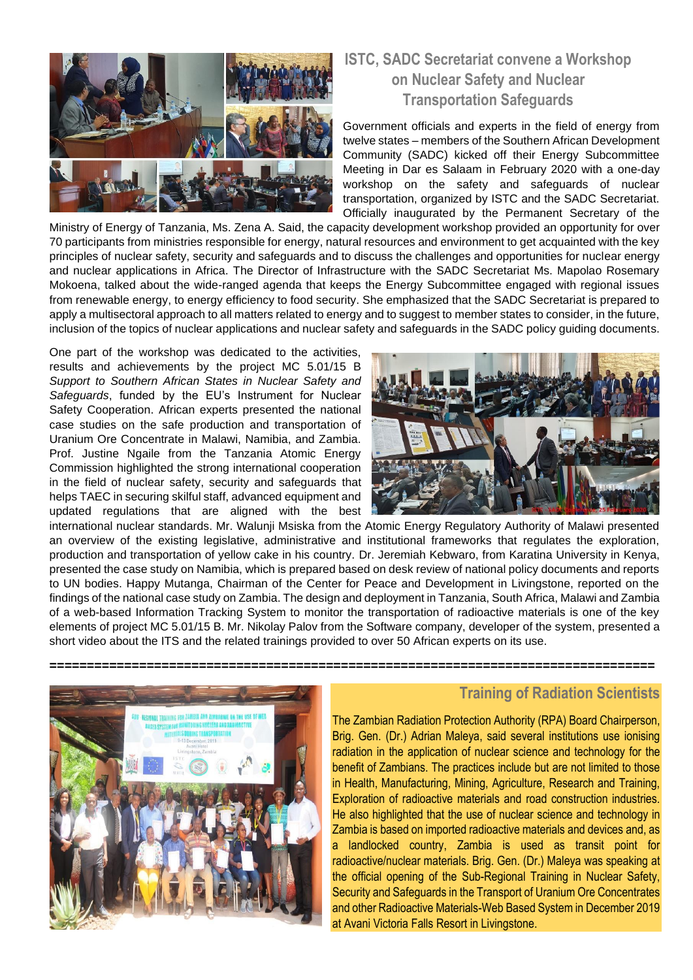

### **ISTC, SADC Secretariat convene a Workshop on Nuclear Safety and Nuclear Transportation Safeguards**

Government officials and experts in the field of energy from twelve states – members of the Southern African Development Community (SADC) kicked off their Energy Subcommittee Meeting in Dar es Salaam in February 2020 with a one-day workshop on the safety and safeguards of nuclear transportation, organized by ISTC and the SADC Secretariat. Officially inaugurated by the Permanent Secretary of the

Ministry of Energy of Tanzania, Ms. Zena A. Said, the capacity development workshop provided an opportunity for over 70 participants from ministries responsible for energy, natural resources and environment to get acquainted with the key principles of nuclear safety, security and safeguards and to discuss the challenges and opportunities for nuclear energy and nuclear applications in Africa. The Director of Infrastructure with the SADC Secretariat Ms. Mapolao Rosemary Mokoena, talked about the wide-ranged agenda that keeps the Energy Subcommittee engaged with regional issues from renewable energy, to energy efficiency to food security. She emphasized that the SADC Secretariat is prepared to apply a multisectoral approach to all matters related to energy and to suggest to member states to consider, in the future, inclusion of the topics of nuclear applications and nuclear safety and safeguards in the SADC policy guiding documents.

One part of the workshop was dedicated to the activities, results and achievements by the project MC 5.01/15 B *Support to Southern African States in Nuclear Safety and Safeguards*, funded by the EU's Instrument for Nuclear Safety Cooperation. African experts presented the national case studies on the safe production and transportation of Uranium Ore Concentrate in Malawi, Namibia, and Zambia. Prof. Justine Ngaile from the Tanzania Atomic Energy Commission highlighted the strong international cooperation in the field of nuclear safety, security and safeguards that helps TAEC in securing skilful staff, advanced equipment and updated regulations that are aligned with the best



international nuclear standards. Mr. Walunji Msiska from the Atomic Energy Regulatory Authority of Malawi presented an overview of the existing legislative, administrative and institutional frameworks that regulates the exploration, production and transportation of yellow cake in his country. Dr. Jeremiah Kebwaro, from Karatina University in Kenya, presented the case study on Namibia, which is prepared based on desk review of national policy documents and reports to UN bodies. Happy Mutanga, Chairman of the Center for Peace and Development in Livingstone, reported on the findings of the national case study on Zambia. The design and deployment in Tanzania, South Africa, Malawi and Zambia of a web-based Information Tracking System to monitor the transportation of radioactive materials is one of the key elements of project MC 5.01/15 B. Mr. Nikolay Palov from the Software company, developer of the system, presented a short video about the ITS and the related trainings provided to over 50 African experts on its use.



#### **Training of Radiation Scientists**

The Zambian Radiation Protection Authority (RPA) Board Chairperson, Brig. Gen. (Dr.) Adrian Maleya, said several institutions use ionising radiation in the application of nuclear science and technology for the benefit of Zambians. The practices include but are not limited to those in Health, Manufacturing, Mining, Agriculture, Research and Training, Exploration of radioactive materials and road construction industries. He also highlighted that the use of nuclear science and technology in Zambia is based on imported radioactive materials and devices and, as a landlocked country, Zambia is used as transit point for radioactive/nuclear materials. Brig. Gen. (Dr.) Maleya was speaking at the official opening of the Sub-Regional Training in Nuclear Safety, Security and Safeguards in the Transport of Uranium Ore Concentrates and other Radioactive Materials-Web Based System in December 2019 at Avani Victoria Falls Resort in Livingstone.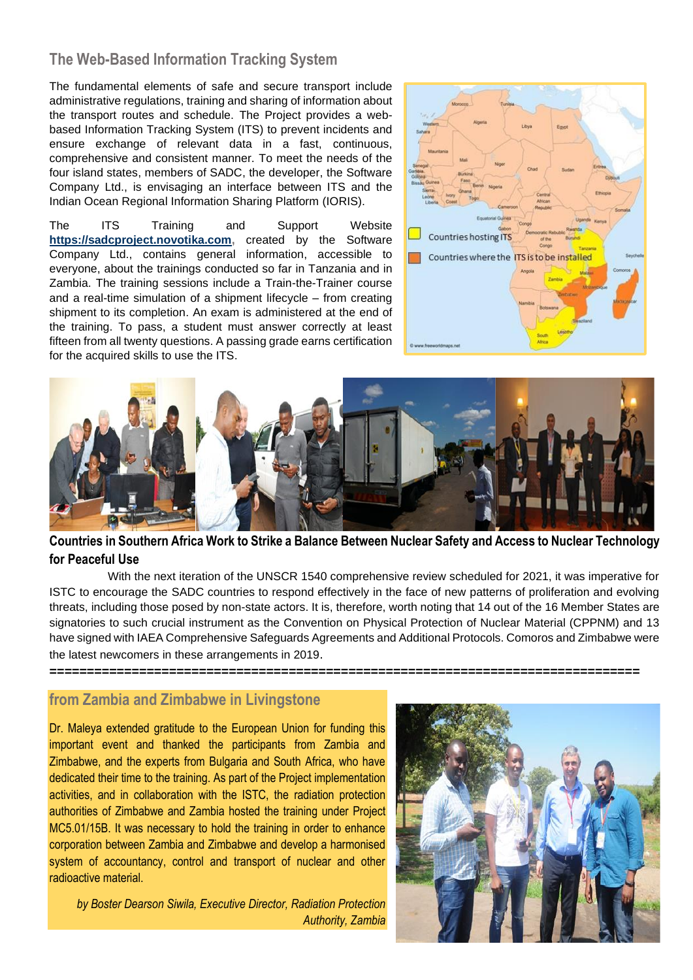#### **The Web-Based Information Tracking System**

The fundamental elements of safe and secure transport include administrative regulations, training and sharing of information about the transport routes and schedule. The Project provides a webbased Information Tracking System (ITS) to prevent incidents and ensure exchange of relevant data in a fast, continuous, comprehensive and consistent manner. To meet the needs of the four island states, members of SADC, the developer, the Software Company Ltd., is envisaging an interface between ITS and the Indian Ocean Regional Information Sharing Platform (IORIS).

The ITS Training and Support Website **[https://sadcproject.novotika.com,](https://sadcproject.novotika.com/)** created by the Software Company Ltd., contains general information, accessible to everyone, about the trainings conducted so far in Tanzania and in Zambia. The training sessions include a Train-the-Trainer course and a real-time simulation of a shipment lifecycle – from creating shipment to its completion. An exam is administered at the end of the training. To pass, a student must answer correctly at least fifteen from all twenty questions. A passing grade earns certification for the acquired skills to use the ITS.





**Countries in Southern Africa Work to Strike a Balance Between Nuclear Safety and Access to Nuclear Technology for Peaceful Use**

With the next iteration of the UNSCR 1540 comprehensive review scheduled for 2021, it was imperative for ISTC to encourage the SADC countries to respond effectively in the face of new patterns of proliferation and evolving threats, including those posed by non-state actors. It is, therefore, worth noting that 14 out of the 16 Member States are signatories to such crucial instrument as the Convention on Physical Protection of Nuclear Material (CPPNM) and 13 have signed with IAEA Comprehensive Safeguards Agreements and Additional Protocols. Comoros and Zimbabwe were the latest newcomers in these arrangements in 2019.

#### **===============================================================================**

#### **from Zambia and Zimbabwe in Livingstone**

Dr. Maleya extended gratitude to the European Union for funding this important event and thanked the participants from Zambia and Zimbabwe, and the experts from Bulgaria and South Africa, who have dedicated their time to the training. As part of the Project implementation activities, and in collaboration with the ISTC, the radiation protection authorities of Zimbabwe and Zambia hosted the training under Project MC5.01/15B. It was necessary to hold the training in order to enhance corporation between Zambia and Zimbabwe and develop a harmonised system of accountancy, control and transport of nuclear and other radioactive material.

 *by Boster Dearson Siwila, Executive Director, Radiation Protection Authority, Zambia*